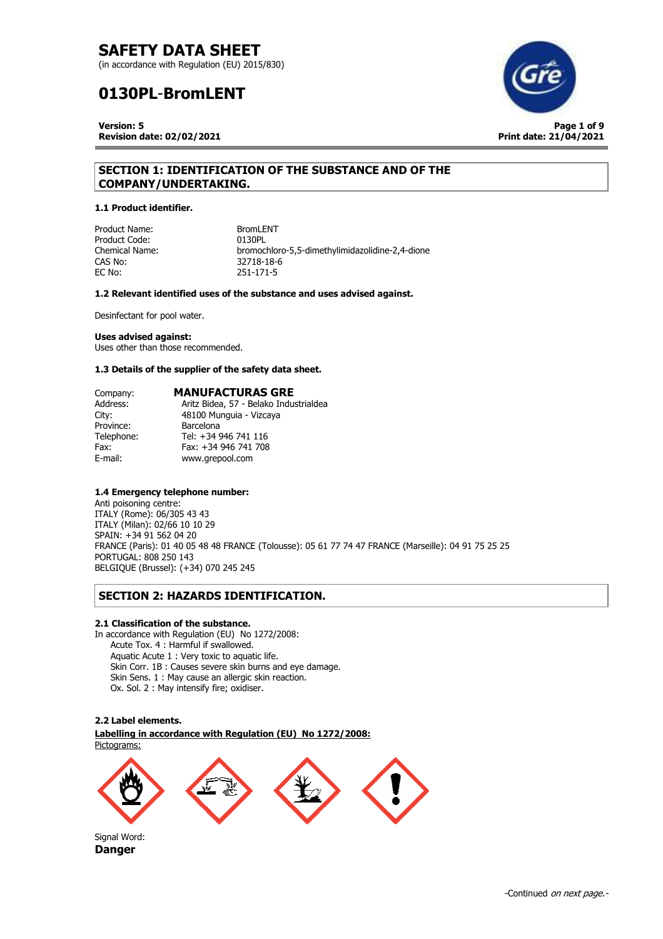(in accordance with Regulation (EU) 2015/830)

# **0130PL**-**BromLENT**

**Version: 5** 

**Revision date: 02/02/2021**



# **SECTION 1: IDENTIFICATION OF THE SUBSTANCE AND OF THE COMPANY/UNDERTAKING.**

### **1.1 Product identifier.**

Product Name: BromLENT<br>Product Code: 0130PL Product Code:<br>Chemical Name: CAS No: 32718-18-6<br>EC No: 251-171-5

Chemical Name: bromochloro-5,5-dimethylimidazolidine-2,4-dione EC No: 251-171-5

### **1.2 Relevant identified uses of the substance and uses advised against.**

Desinfectant for pool water.

## **Uses advised against:**

Uses other than those recommended.

### **1.3 Details of the supplier of the safety data sheet.**

| Company:   | <b>MANUFACTURAS GRE</b>                |
|------------|----------------------------------------|
| Address:   | Aritz Bidea, 57 - Belako Industrialdea |
| City:      | 48100 Munguia - Vizcaya                |
| Province:  | <b>Barcelona</b>                       |
| Telephone: | Tel: +34 946 741 116                   |
| Fax:       | Fax: +34 946 741 708                   |
| E-mail:    | www.grepool.com                        |

## **1.4 Emergency telephone number:**

Anti poisoning centre: ITALY (Rome): 06/305 43 43 ITALY (Milan): 02/66 10 10 29 SPAIN: +34 91 562 04 20 FRANCE (Paris): 01 40 05 48 48 FRANCE (Tolousse): 05 61 77 74 47 FRANCE (Marseille): 04 91 75 25 25 PORTUGAL: 808 250 143 BELGIQUE (Brussel): (+34) 070 245 245

# **SECTION 2: HAZARDS IDENTIFICATION.**

### **2.1 Classification of the substance.**

In accordance with Regulation (EU) No 1272/2008: Acute Tox. 4 : Harmful if swallowed. Aquatic Acute 1 : Very toxic to aquatic life. Skin Corr. 1B : Causes severe skin burns and eye damage. Skin Sens. 1 : May cause an allergic skin reaction. Ox. Sol. 2 : May intensify fire; oxidiser.

#### **2.2 Label elements.**

. **Labelling in accordance with Regulation (EU) No 1272/2008:**  Pictograms:

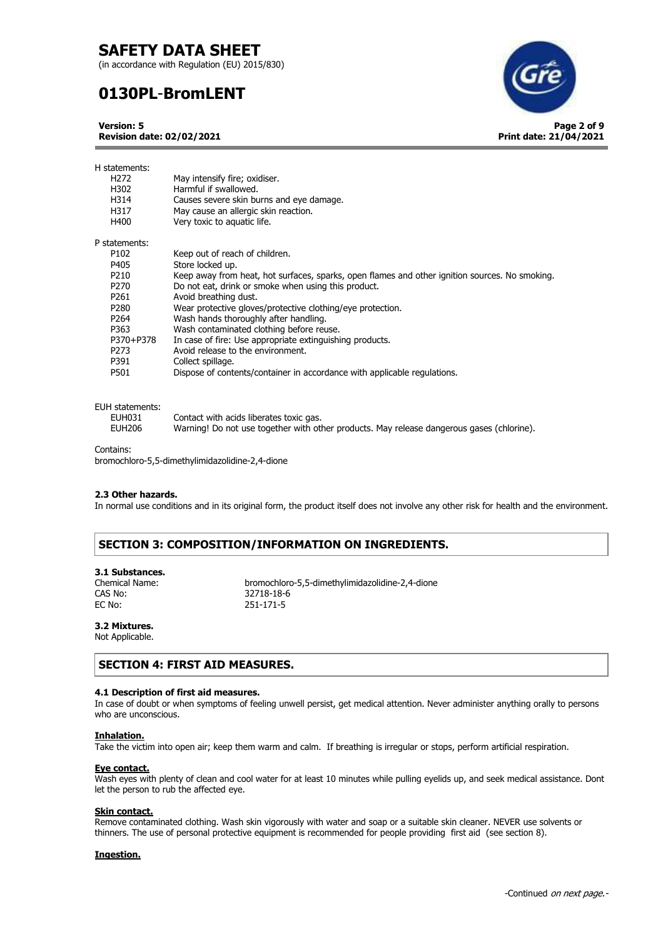(in accordance with Regulation (EU) 2015/830)

# **0130PL**-**BromLENT**

**Version: 5 Revision date: 02/02/2021** **Page 2 of 9**

**Print date: 21/04/2021**

| H statements:<br>H <sub>272</sub><br>H302<br>H314<br>H317 | May intensify fire; oxidiser.<br>Harmful if swallowed.<br>Causes severe skin burns and eye damage.<br>May cause an allergic skin reaction. |
|-----------------------------------------------------------|--------------------------------------------------------------------------------------------------------------------------------------------|
| H400                                                      | Very toxic to aquatic life.                                                                                                                |
| P statements:                                             |                                                                                                                                            |
| P <sub>102</sub>                                          | Keep out of reach of children.                                                                                                             |
| P405                                                      | Store locked up.                                                                                                                           |
| P <sub>210</sub>                                          | Keep away from heat, hot surfaces, sparks, open flames and other ignition sources. No smoking.                                             |
| P <sub>270</sub>                                          | Do not eat, drink or smoke when using this product.                                                                                        |
| P261                                                      | Avoid breathing dust.                                                                                                                      |
| P <sub>280</sub>                                          | Wear protective gloves/protective clothing/eye protection.                                                                                 |
| P <sub>264</sub>                                          | Wash hands thoroughly after handling.                                                                                                      |
| P363                                                      | Wash contaminated clothing before reuse.                                                                                                   |
| P370+P378                                                 | In case of fire: Use appropriate extinguishing products.                                                                                   |
| P <sub>273</sub>                                          | Avoid release to the environment.                                                                                                          |
| P391                                                      | Collect spillage.                                                                                                                          |
| P501                                                      | Dispose of contents/container in accordance with applicable regulations.                                                                   |

#### EUH statements:

| ,,,,,,,,,,,,,,,,,,,, |                                                                                           |
|----------------------|-------------------------------------------------------------------------------------------|
| EUH031               | Contact with acids liberates toxic gas.                                                   |
| <b>EUH206</b>        | Warning! Do not use together with other products. May release dangerous gases (chlorine). |

Contains:

bromochloro-5,5-dimethylimidazolidine-2,4-dione

### **2.3 Other hazards.**

In normal use conditions and in its original form, the product itself does not involve any other risk for health and the environment.

# **SECTION 3: COMPOSITION/INFORMATION ON INGREDIENTS.**

# **3.1 Substances.**

CAS No: 32718-18-6<br>EC No: 251-171-5

Chemical Name: bromochloro-5,5-dimethylimidazolidine-2,4-dione EC No: 251-171-5

# **3.2 Mixtures.**

Not Applicable.

# **SECTION 4: FIRST AID MEASURES.**

## **4.1 Description of first aid measures.**

In case of doubt or when symptoms of feeling unwell persist, get medical attention. Never administer anything orally to persons who are unconscious.

### **Inhalation.**

Take the victim into open air; keep them warm and calm. If breathing is irregular or stops, perform artificial respiration.

#### **Eye contact.**

Wash eyes with plenty of clean and cool water for at least 10 minutes while pulling eyelids up, and seek medical assistance. Dont let the person to rub the affected eye.

### **Skin contact.**

Remove contaminated clothing. Wash skin vigorously with water and soap or a suitable skin cleaner. NEVER use solvents or thinners. The use of personal protective equipment is recommended for people providing first aid (see section 8).

### **Ingestion.**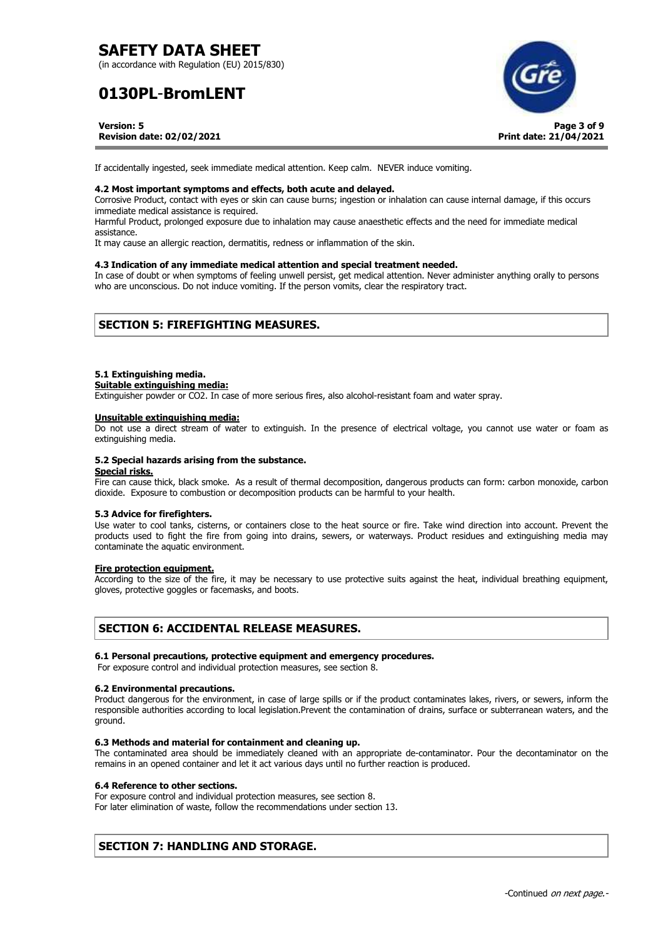(in accordance with Regulation (EU) 2015/830)

# **0130PL**-**BromLENT**



**Version: 5** 

### **Revision date: 02/02/2021**

If accidentally ingested, seek immediate medical attention. Keep calm. NEVER induce vomiting.

#### **4.2 Most important symptoms and effects, both acute and delayed.**

Corrosive Product, contact with eyes or skin can cause burns; ingestion or inhalation can cause internal damage, if this occurs immediate medical assistance is required.

Harmful Product, prolonged exposure due to inhalation may cause anaesthetic effects and the need for immediate medical assistance.

It may cause an allergic reaction, dermatitis, redness or inflammation of the skin.

#### **4.3 Indication of any immediate medical attention and special treatment needed.**

In case of doubt or when symptoms of feeling unwell persist, get medical attention. Never administer anything orally to persons who are unconscious. Do not induce vomiting. If the person vomits, clear the respiratory tract.

# **SECTION 5: FIREFIGHTING MEASURES.**

#### **5.1 Extinguishing media.**

**Suitable extinguishing media:** 

Extinguisher powder or CO2. In case of more serious fires, also alcohol-resistant foam and water spray.

#### **Unsuitable extinguishing media:**

Do not use a direct stream of water to extinguish. In the presence of electrical voltage, you cannot use water or foam as extinguishing media.

#### **5.2 Special hazards arising from the substance.**

#### **Special risks.**

Fire can cause thick, black smoke. As a result of thermal decomposition, dangerous products can form: carbon monoxide, carbon dioxide. Exposure to combustion or decomposition products can be harmful to your health.

#### **5.3 Advice for firefighters.**

Use water to cool tanks, cisterns, or containers close to the heat source or fire. Take wind direction into account. Prevent the products used to fight the fire from going into drains, sewers, or waterways. Product residues and extinguishing media may contaminate the aquatic environment.

#### **Fire protection equipment.**

According to the size of the fire, it may be necessary to use protective suits against the heat, individual breathing equipment, gloves, protective goggles or facemasks, and boots.

# **SECTION 6: ACCIDENTAL RELEASE MEASURES.**

#### **6.1 Personal precautions, protective equipment and emergency procedures.**

For exposure control and individual protection measures, see section 8.

#### **6.2 Environmental precautions.**

Product dangerous for the environment, in case of large spills or if the product contaminates lakes, rivers, or sewers, inform the responsible authorities according to local legislation.Prevent the contamination of drains, surface or subterranean waters, and the ground.

#### **6.3 Methods and material for containment and cleaning up.**

The contaminated area should be immediately cleaned with an appropriate de-contaminator. Pour the decontaminator on the remains in an opened container and let it act various days until no further reaction is produced.

### **6.4 Reference to other sections.**

For exposure control and individual protection measures, see section 8.

For later elimination of waste, follow the recommendations under section 13.

# **SECTION 7: HANDLING AND STORAGE.**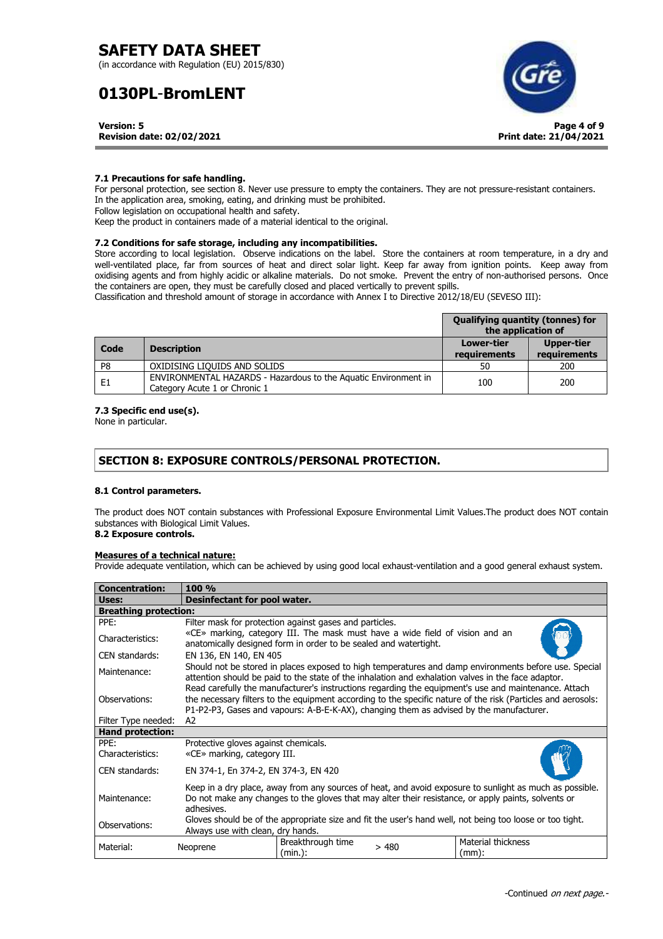(in accordance with Regulation (EU) 2015/830)

# **0130PL**-**BromLENT**



**Version: 5 Revision date: 02/02/2021**

## **7.1 Precautions for safe handling.**

For personal protection, see section 8. Never use pressure to empty the containers. They are not pressure-resistant containers. In the application area, smoking, eating, and drinking must be prohibited. Follow legislation on occupational health and safety. Keep the product in containers made of a material identical to the original.

## **7.2 Conditions for safe storage, including any incompatibilities.**

Store according to local legislation. Observe indications on the label. Store the containers at room temperature, in a dry and well-ventilated place, far from sources of heat and direct solar light. Keep far away from ignition points. Keep away from oxidising agents and from highly acidic or alkaline materials. Do not smoke. Prevent the entry of non-authorised persons. Once the containers are open, they must be carefully closed and placed vertically to prevent spills.

Classification and threshold amount of storage in accordance with Annex I to Directive 2012/18/EU (SEVESO III):

|                |                                                                                                  | <b>Qualifying quantity (tonnes) for</b><br>the application of |                                   |
|----------------|--------------------------------------------------------------------------------------------------|---------------------------------------------------------------|-----------------------------------|
| Code           | <b>Description</b>                                                                               | <b>Lower-tier</b><br>requirements                             | <b>Upper-tier</b><br>requirements |
| P8             | OXIDISING LIQUIDS AND SOLIDS                                                                     | 50                                                            | 200                               |
| E <sub>1</sub> | ENVIRONMENTAL HAZARDS - Hazardous to the Aquatic Environment in<br>Category Acute 1 or Chronic 1 | 100                                                           | 200                               |

## **7.3 Specific end use(s).**

None in particular.

# **SECTION 8: EXPOSURE CONTROLS/PERSONAL PROTECTION.**

## **8.1 Control parameters.**

The product does NOT contain substances with Professional Exposure Environmental Limit Values.The product does NOT contain substances with Biological Limit Values.

# **8.2 Exposure controls.**

## **Measures of a technical nature:**

Provide adequate ventilation, which can be achieved by using good local exhaust-ventilation and a good general exhaust system.

| <b>Concentration:</b>        | 100 %                                                                                                                                                                                                                                                                                                           |                              |      |                                                                                                          |
|------------------------------|-----------------------------------------------------------------------------------------------------------------------------------------------------------------------------------------------------------------------------------------------------------------------------------------------------------------|------------------------------|------|----------------------------------------------------------------------------------------------------------|
| Uses:                        | <b>Desinfectant for pool water.</b>                                                                                                                                                                                                                                                                             |                              |      |                                                                                                          |
| <b>Breathing protection:</b> |                                                                                                                                                                                                                                                                                                                 |                              |      |                                                                                                          |
| PPE:                         | Filter mask for protection against gases and particles.                                                                                                                                                                                                                                                         |                              |      |                                                                                                          |
| Characteristics:             | «CE» marking, category III. The mask must have a wide field of vision and an<br>anatomically designed form in order to be sealed and watertight.                                                                                                                                                                |                              |      |                                                                                                          |
| CEN standards:               |                                                                                                                                                                                                                                                                                                                 | EN 136, EN 140, EN 405       |      |                                                                                                          |
| Maintenance:                 | Should not be stored in places exposed to high temperatures and damp environments before use. Special<br>attention should be paid to the state of the inhalation and exhalation valves in the face adaptor.                                                                                                     |                              |      |                                                                                                          |
| Observations:                | Read carefully the manufacturer's instructions regarding the equipment's use and maintenance. Attach<br>the necessary filters to the equipment according to the specific nature of the risk (Particles and aerosols:<br>P1-P2-P3, Gases and vapours: A-B-E-K-AX), changing them as advised by the manufacturer. |                              |      |                                                                                                          |
| Filter Type needed:          | A2                                                                                                                                                                                                                                                                                                              |                              |      |                                                                                                          |
| <b>Hand protection:</b>      |                                                                                                                                                                                                                                                                                                                 |                              |      |                                                                                                          |
| PPE:<br>Characteristics:     | Protective gloves against chemicals.<br>«CE» marking, category III.                                                                                                                                                                                                                                             |                              |      |                                                                                                          |
| CEN standards:               | EN 374-1, En 374-2, EN 374-3, EN 420                                                                                                                                                                                                                                                                            |                              |      |                                                                                                          |
| Maintenance:                 | Keep in a dry place, away from any sources of heat, and avoid exposure to sunlight as much as possible.<br>Do not make any changes to the gloves that may alter their resistance, or apply paints, solvents or<br>adhesives.                                                                                    |                              |      |                                                                                                          |
| Observations:                | Always use with clean, dry hands.                                                                                                                                                                                                                                                                               |                              |      | Gloves should be of the appropriate size and fit the user's hand well, not being too loose or too tight. |
| Material:                    | Neoprene                                                                                                                                                                                                                                                                                                        | Breakthrough time<br>(min.): | >480 | <b>Material thickness</b><br>(mm):                                                                       |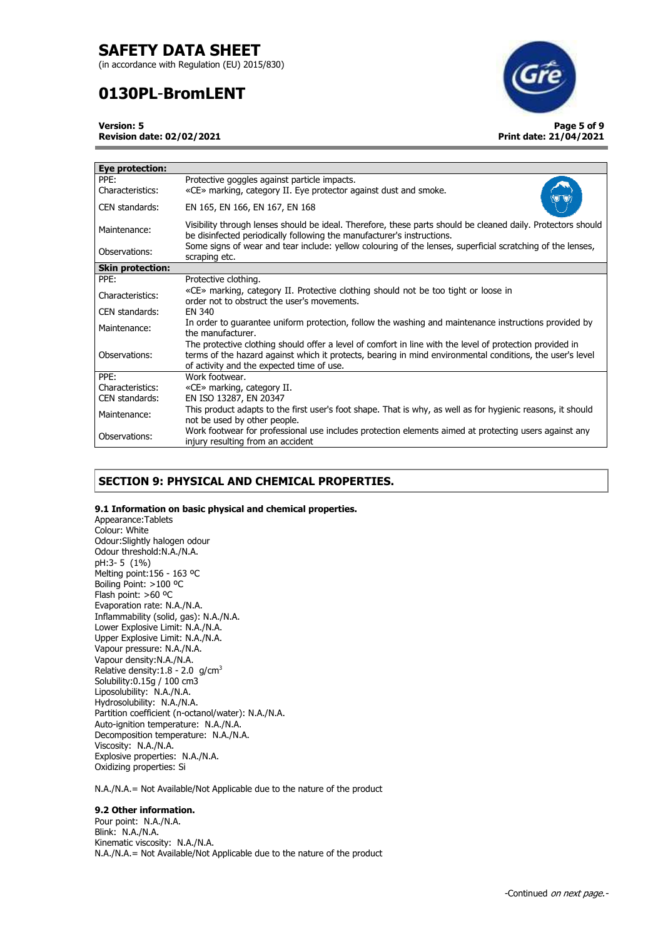(in accordance with Regulation (EU) 2015/830)

# **0130PL**-**BromLENT**



**Version: 5** 

**Revision date: 02/02/2021**

| Eye protection:          |                                                                                                                                                                                                                                                                    |
|--------------------------|--------------------------------------------------------------------------------------------------------------------------------------------------------------------------------------------------------------------------------------------------------------------|
| PPE:<br>Characteristics: | Protective goggles against particle impacts.<br>«CE» marking, category II. Eye protector against dust and smoke.                                                                                                                                                   |
| CEN standards:           | EN 165, EN 166, EN 167, EN 168                                                                                                                                                                                                                                     |
| Maintenance:             | Visibility through lenses should be ideal. Therefore, these parts should be cleaned daily. Protectors should<br>be disinfected periodically following the manufacturer's instructions.                                                                             |
| Observations:            | Some signs of wear and tear include: yellow colouring of the lenses, superficial scratching of the lenses,<br>scraping etc.                                                                                                                                        |
| <b>Skin protection:</b>  |                                                                                                                                                                                                                                                                    |
| PPE:                     | Protective clothing.                                                                                                                                                                                                                                               |
| Characteristics:         | «CE» marking, category II. Protective clothing should not be too tight or loose in<br>order not to obstruct the user's movements.                                                                                                                                  |
| CEN standards:           | EN 340                                                                                                                                                                                                                                                             |
| Maintenance:             | In order to guarantee uniform protection, follow the washing and maintenance instructions provided by<br>the manufacturer.                                                                                                                                         |
| Observations:            | The protective clothing should offer a level of comfort in line with the level of protection provided in<br>terms of the hazard against which it protects, bearing in mind environmental conditions, the user's level<br>of activity and the expected time of use. |
| PPE:                     | Work footwear.                                                                                                                                                                                                                                                     |
| Characteristics:         | «CE» marking, category II.                                                                                                                                                                                                                                         |
| CEN standards:           | EN ISO 13287, EN 20347                                                                                                                                                                                                                                             |
| Maintenance:             | This product adapts to the first user's foot shape. That is why, as well as for hygienic reasons, it should<br>not be used by other people.                                                                                                                        |
| Observations:            | Work footwear for professional use includes protection elements aimed at protecting users against any<br>injury resulting from an accident                                                                                                                         |

# **SECTION 9: PHYSICAL AND CHEMICAL PROPERTIES.**

## **9.1 Information on basic physical and chemical properties.**

Appearance:Tablets Colour: White Odour:Slightly halogen odour Odour threshold:N.A./N.A. pH:3- 5 (1%) Melting point:156 - 163 ºC Boiling Point: >100 ºC Flash point: >60 ºC Evaporation rate: N.A./N.A. Inflammability (solid, gas): N.A./N.A. Lower Explosive Limit: N.A./N.A. Upper Explosive Limit: N.A./N.A. Vapour pressure: N.A./N.A. Vapour density:N.A./N.A. Relative density:1.8 - 2.0 g/cm<sup>3</sup> Solubility:0.15g / 100 cm3 Liposolubility: N.A./N.A. Hydrosolubility: N.A./N.A. Partition coefficient (n-octanol/water): N.A./N.A. Auto-ignition temperature: N.A./N.A. Decomposition temperature: N.A./N.A. Viscosity: N.A./N.A. Explosive properties: N.A./N.A. Oxidizing properties: Si

N.A./N.A.= Not Available/Not Applicable due to the nature of the product

## **9.2 Other information.**

Pour point: N.A./N.A. Blink: N.A./N.A. Kinematic viscosity: N.A./N.A. N.A./N.A.= Not Available/Not Applicable due to the nature of the product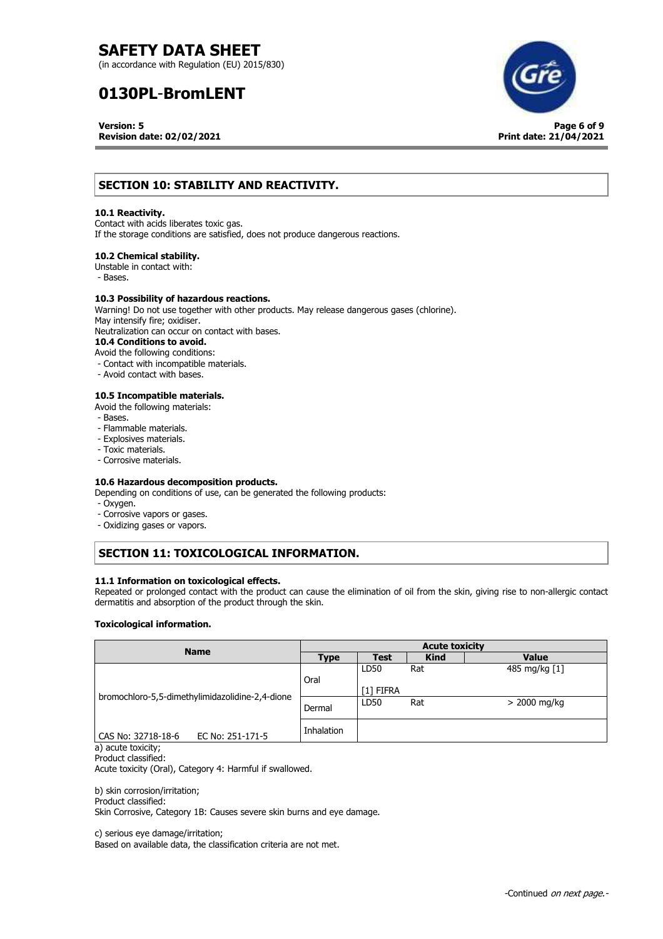(in accordance with Regulation (EU) 2015/830)

# **0130PL**-**BromLENT**

**Version: 5** 

**Revision date: 02/02/2021**



# **SECTION 10: STABILITY AND REACTIVITY.**

### **10.1 Reactivity.**

Contact with acids liberates toxic gas. If the storage conditions are satisfied, does not produce dangerous reactions.

### **10.2 Chemical stability.**

Unstable in contact with:

- Bases.

### **10.3 Possibility of hazardous reactions.**

Warning! Do not use together with other products. May release dangerous gases (chlorine). May intensify fire; oxidiser. Neutralization can occur on contact with bases. **10.4 Conditions to avoid.** 

Avoid the following conditions: - Contact with incompatible materials.

- 
- Avoid contact with bases.

## **10.5 Incompatible materials.**

- Avoid the following materials:
- Bases.
- Flammable materials.
- Explosives materials.
- Toxic materials.
- Corrosive materials.

### **10.6 Hazardous decomposition products.**

Depending on conditions of use, can be generated the following products:

- Oxygen.
- Corrosive vapors or gases.
- Oxidizing gases or vapors.

# **SECTION 11: TOXICOLOGICAL INFORMATION.**

### **11.1 Information on toxicological effects.**

Repeated or prolonged contact with the product can cause the elimination of oil from the skin, giving rise to non-allergic contact dermatitis and absorption of the product through the skin.

#### **Toxicological information.**

| <b>Name</b>                                                                                                                                                                                                                                                                      | <b>Acute toxicity</b> |             |             |               |
|----------------------------------------------------------------------------------------------------------------------------------------------------------------------------------------------------------------------------------------------------------------------------------|-----------------------|-------------|-------------|---------------|
|                                                                                                                                                                                                                                                                                  | <b>Type</b>           | <b>Test</b> | <b>Kind</b> | <b>Value</b>  |
|                                                                                                                                                                                                                                                                                  |                       | LD50        | Rat         | 485 mg/kg [1] |
|                                                                                                                                                                                                                                                                                  | Oral                  |             |             |               |
| bromochloro-5,5-dimethylimidazolidine-2,4-dione                                                                                                                                                                                                                                  |                       | [1] FIFRA   |             |               |
|                                                                                                                                                                                                                                                                                  | Dermal                | LD50        | Rat         | > 2000 mg/kg  |
|                                                                                                                                                                                                                                                                                  |                       |             |             |               |
|                                                                                                                                                                                                                                                                                  | Inhalation            |             |             |               |
| EC No: 251-171-5<br>CAS No: 32718-18-6<br>$\mathcal{N}$ and $\mathcal{N}$ are the set of the set of the set of the set of the set of the set of the set of the set of the set of the set of the set of the set of the set of the set of the set of the set of the set of the set |                       |             |             |               |

a) acute toxicity; Product classified:

Acute toxicity (Oral), Category 4: Harmful if swallowed.

## b) skin corrosion/irritation;

Product classified:

Skin Corrosive, Category 1B: Causes severe skin burns and eye damage.

c) serious eye damage/irritation;

Based on available data, the classification criteria are not met.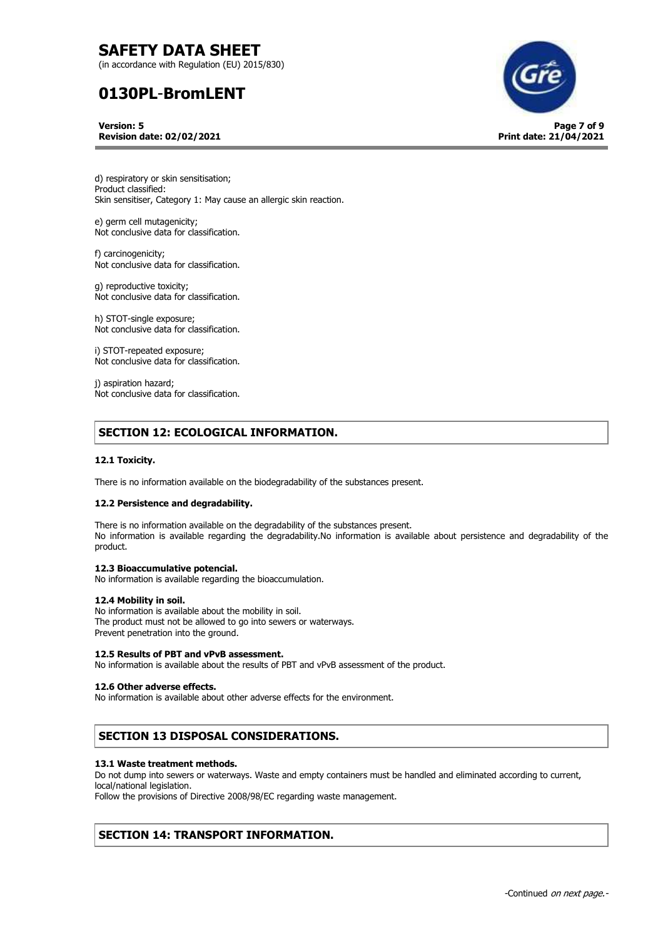(in accordance with Regulation (EU) 2015/830)

# **0130PL**-**BromLENT**

**Version: 5 Revision date: 02/02/2021**



d) respiratory or skin sensitisation; Product classified: Skin sensitiser, Category 1: May cause an allergic skin reaction.

e) germ cell mutagenicity; Not conclusive data for classification.

f) carcinogenicity; Not conclusive data for classification.

g) reproductive toxicity; Not conclusive data for classification.

h) STOT-single exposure; Not conclusive data for classification.

i) STOT-repeated exposure; Not conclusive data for classification.

j) aspiration hazard; Not conclusive data for classification.

# **SECTION 12: ECOLOGICAL INFORMATION.**

## **12.1 Toxicity.**

There is no information available on the biodegradability of the substances present.

#### **12.2 Persistence and degradability.**

There is no information available on the degradability of the substances present. No information is available regarding the degradability.No information is available about persistence and degradability of the product.

## **12.3 Bioaccumulative potencial.**

No information is available regarding the bioaccumulation.

#### **12.4 Mobility in soil.**

No information is available about the mobility in soil. The product must not be allowed to go into sewers or waterways. Prevent penetration into the ground.

#### **12.5 Results of PBT and vPvB assessment.**

No information is available about the results of PBT and vPvB assessment of the product.

#### **12.6 Other adverse effects.**

No information is available about other adverse effects for the environment.

# **SECTION 13 DISPOSAL CONSIDERATIONS.**

#### **13.1 Waste treatment methods.**

Do not dump into sewers or waterways. Waste and empty containers must be handled and eliminated according to current, local/national legislation. Follow the provisions of Directive 2008/98/EC regarding waste management.

# **SECTION 14: TRANSPORT INFORMATION.**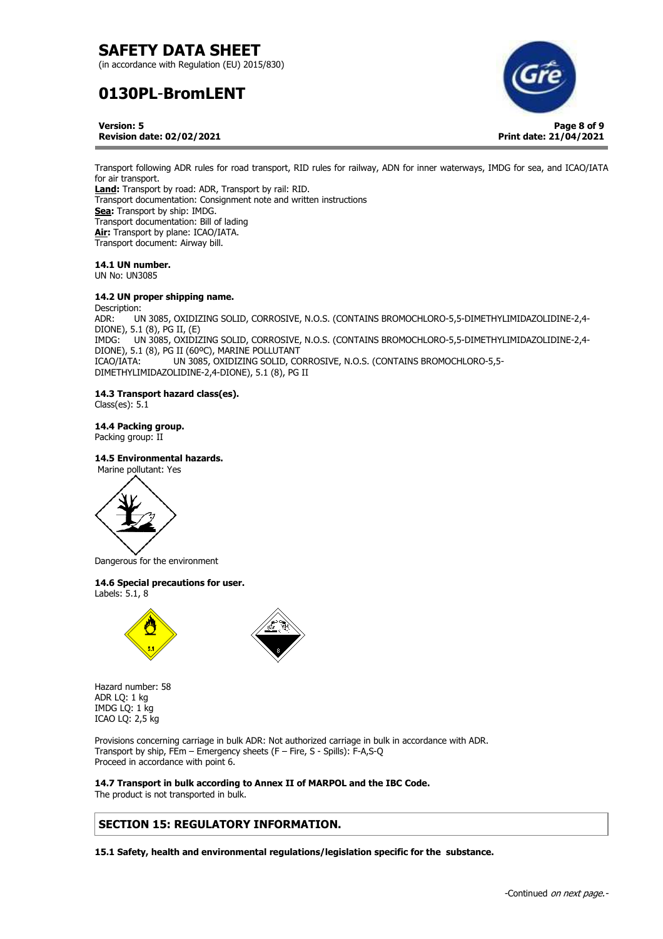(in accordance with Regulation (EU) 2015/830)

# **0130PL**-**BromLENT**



**Version: 5 Revision date: 02/02/2021**

Transport following ADR rules for road transport, RID rules for railway, ADN for inner waterways, IMDG for sea, and ICAO/IATA for air transport. **Land:** Transport by road: ADR, Transport by rail: RID. Transport documentation: Consignment note and written instructions **Sea:** Transport by ship: IMDG. Transport documentation: Bill of lading **Air:** Transport by plane: ICAO/IATA. Transport document: Airway bill.

# **14.1 UN number.**

UN No: UN3085

### **14.2 UN proper shipping name.**

Description: ADR: UN 3085, OXIDIZING SOLID, CORROSIVE, N.O.S. (CONTAINS BROMOCHLORO-5,5-DIMETHYLIMIDAZOLIDINE-2,4- DIONE), 5.1 (8), PG II, (E) IMDG: UN 3085, OXIDIZING SOLID, CORROSIVE, N.O.S. (CONTAINS BROMOCHLORO-5,5-DIMETHYLIMIDAZOLIDINE-2,4- DIONE), 5.1 (8), PG II (60ºC), MARINE POLLUTANT ICAO/IATA: UN 3085, OXIDIZING SOLID, CORROSIVE, N.O.S. (CONTAINS BROMOCHLORO-5,5- DIMETHYLIMIDAZOLIDINE-2,4-DIONE), 5.1 (8), PG II

## **14.3 Transport hazard class(es).**

Class(es): 5.1

**14.4 Packing group.**  Packing group: II

## **14.5 Environmental hazards.**



Dangerous for the environment

## **14.6 Special precautions for user.**

Labels: 5.1, 8





Hazard number: 58 ADR LQ: 1 kg IMDG LQ: 1 kg ICAO LQ: 2,5 kg

Provisions concerning carriage in bulk ADR: Not authorized carriage in bulk in accordance with ADR. Transport by ship, FEm – Emergency sheets (F – Fire, S - Spills): F-A,S-Q Proceed in accordance with point 6.

**14.7 Transport in bulk according to Annex II of MARPOL and the IBC Code.**  The product is not transported in bulk.

# **SECTION 15: REGULATORY INFORMATION.**

**15.1 Safety, health and environmental regulations/legislation specific for the substance.**